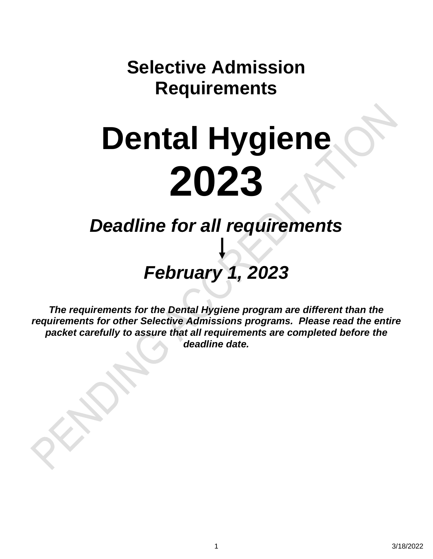**Selective Admission Requirements**

# **Dental Hygiene 2023**

*Deadline for all requirements*

# *February 1, 2023*

*The requirements for the Dental Hygiene program are different than the requirements for other Selective Admissions programs. Please read the entire packet carefully to assure that all requirements are completed before the deadline date.*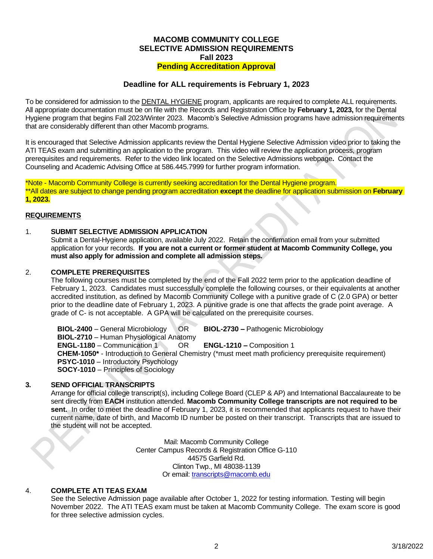#### **MACOMB COMMUNITY COLLEGE SELECTIVE ADMISSION REQUIREMENTS Fall 2023 Pending Accreditation Approval**

#### **Deadline for ALL requirements is February 1, 2023**

To be considered for admission to the DENTAL HYGIENE program, applicants are required to complete ALL requirements. All appropriate documentation must be on file with the Records and Registration Office by **February 1, 2023,** for the Dental Hygiene program that begins Fall 2023/Winter 2023. Macomb's Selective Admission programs have admission requirements that are considerably different than other Macomb programs.

It is encouraged that Selective Admission applicants review the Dental Hygiene Selective Admission video prior to taking the ATI TEAS exam and submitting an application to the program. This video will review the application process, program prerequisites and requirements. Refer to the video link located on the Selective Admissions webpage**.** Contact the Counseling and Academic Advising Office at 586.445.7999 for further program information.

\*Note - Macomb Community College is currently seeking accreditation for the Dental Hygiene program. \*\*All dates are subject to change pending program accreditation **except** the deadline for application submission on **February 1, 2023.**

#### **REQUIREMENTS**

#### 1. **SUBMIT SELECTIVE ADMISSION APPLICATION**

Submit a Dental-Hygiene application, available July 2022. Retain the confirmation email from your submitted application for your records. **If you are not a current or former student at Macomb Community College, you must also apply for admission and complete all admission steps.**

#### 2. **COMPLETE PREREQUISITES**

The following courses must be completed by the end of the Fall 2022 term prior to the application deadline of February 1, 2023. Candidates must successfully complete the following courses, or their equivalents at another accredited institution, as defined by Macomb Community College with a punitive grade of C (2.0 GPA) or better prior to the deadline date of February 1, 2023. A punitive grade is one that affects the grade point average. A grade of C- is not acceptable. A GPA will be calculated on the prerequisite courses.

**BIOL-2400** – General Microbiology OR **BIOL-2730 –** Pathogenic Microbiology **BIOL-2710** – Human Physiological Anatomy **ENGL-1180** – Communication 1 OR **ENGL-1210 –** Composition 1 **CHEM-1050\*** - Introduction to General Chemistry (\*must meet math proficiency prerequisite requirement) **PSYC-1010** – Introductory Psychology **SOCY-1010** – Principles of Sociology

#### **3. SEND OFFICIAL TRANSCRIPTS**

Arrange for official college transcript(s), including College Board (CLEP & AP) and International Baccalaureate to be sent directly from **EACH** institution attended. **Macomb Community College transcripts are not required to be sent.** In order to meet the deadline of February 1, 2023, it is recommended that applicants request to have their current name, date of birth, and Macomb ID number be posted on their transcript. Transcripts that are issued to the student will not be accepted.

> Mail: Macomb Community College Center Campus Records & Registration Office G-110 44575 Garfield Rd. Clinton Twp., MI 48038-1139 Or email: [transcripts@macomb.edu](mailto:transcripts@macomb.edu)

#### 4. **COMPLETE ATI TEAS EXAM**

See the Selective Admission page available after October 1, 2022 for testing information. Testing will begin November 2022. The ATI TEAS exam must be taken at Macomb Community College. The exam score is good for three selective admission cycles.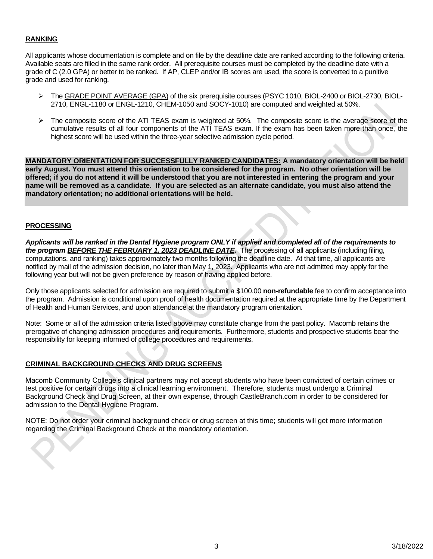#### **RANKING**

All applicants whose documentation is complete and on file by the deadline date are ranked according to the following criteria. Available seats are filled in the same rank order. All prerequisite courses must be completed by the deadline date with a grade of C (2.0 GPA) or better to be ranked. If AP, CLEP and/or IB scores are used, the score is converted to a punitive grade and used for ranking.

- ➢ The GRADE POINT AVERAGE (GPA) of the six prerequisite courses (PSYC 1010, BIOL-2400 or BIOL-2730, BIOL-2710, ENGL-1180 or ENGL-1210, CHEM-1050 and SOCY-1010) are computed and weighted at 50%.
- ➢ The composite score of the ATI TEAS exam is weighted at 50%. The composite score is the average score of the cumulative results of all four components of the ATI TEAS exam. If the exam has been taken more than once, the highest score will be used within the three-year selective admission cycle period.

**MANDATORY ORIENTATION FOR SUCCESSFULLY RANKED CANDIDATES: A mandatory orientation will be held early August. You must attend this orientation to be considered for the program. No other orientation will be offered; if you do not attend it will be understood that you are not interested in entering the program and your name will be removed as a candidate. If you are selected as an alternate candidate, you must also attend the mandatory orientation; no additional orientations will be held.**

#### **PROCESSING**

*Applicants will be ranked in the Dental Hygiene program ONLY if applied and completed all of the requirements to the program BEFORE THE FEBRUARY 1, 2023 DEADLINE DATE.*The processing of all applicants (including filing, computations, and ranking) takes approximately two months following the deadline date. At that time, all applicants are notified by mail of the admission decision, no later than May 1, 2023. Applicants who are not admitted may apply for the following year but will not be given preference by reason of having applied before.

Only those applicants selected for admission are required to submit a \$100.00 **non-refundable** fee to confirm acceptance into the program. Admission is conditional upon proof of health documentation required at the appropriate time by the Department of Health and Human Services, and upon attendance at the mandatory program orientation.

Note: Some or all of the admission criteria listed above may constitute change from the past policy. Macomb retains the prerogative of changing admission procedures and requirements. Furthermore, students and prospective students bear the responsibility for keeping informed of college procedures and requirements.

#### **CRIMINAL BACKGROUND CHECKS AND DRUG SCREENS**

Macomb Community College's clinical partners may not accept students who have been convicted of certain crimes or test positive for certain drugs into a clinical learning environment. Therefore, students must undergo a Criminal Background Check and Drug Screen, at their own expense, through CastleBranch.com in order to be considered for admission to the Dental Hygiene Program.

NOTE: Do not order your criminal background check or drug screen at this time; students will get more information regarding the Criminal Background Check at the mandatory orientation.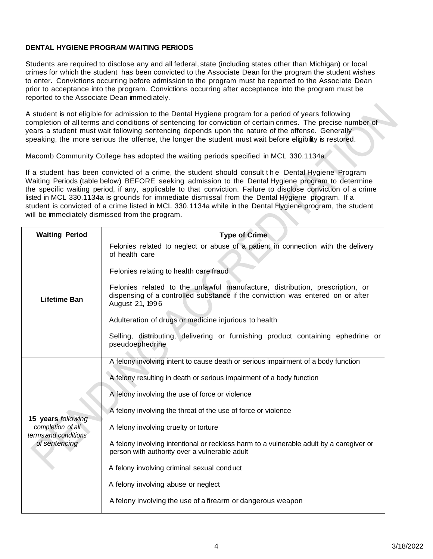#### **DENTAL HYGIENE PROGRAM WAITING PERIODS**

Students are required to disclose any and all federal, state (including states other than Michigan) or local crimes for which the student has been convicted to the Associate Dean for the program the student wishes to enter. Convictions occurring before admission to the program must be reported to the Associate Dean prior to acceptance into the program. Convictions occurring after acceptance into the program must be reported to the Associate Dean immediately.

A student is not eligible for admission to the Dental Hygiene program for a period of years following completion of all terms and conditions of sentencing for conviction of certain crimes. The precise number of years a student must wait following sentencing depends upon the nature of the offense. Generally speaking, the more serious the offense, the longer the student must wait before eligibility is restored.

Macomb Community College has adopted the waiting periods specified in MCL 330.1134a.

If a student has been convicted of a crime, the student should consult the Dental Hygiene Program Waiting Periods (table below) BEFORE seeking admission to the Dental Hygiene program to determine the specific waiting period, if any, applicable to that conviction. Failure to disclose conviction of a crime listed in MCL 330.1134a is grounds for immediate dismissal from the Dental Hygiene program. If a student is convicted of a crime listed in MCL 330.1134a while in the Dental Hygiene program, the student will be immediately dismissed from the program.

| <b>Waiting Period</b>                                                            | <b>Type of Crime</b>                                                                                                                                                              |  |
|----------------------------------------------------------------------------------|-----------------------------------------------------------------------------------------------------------------------------------------------------------------------------------|--|
|                                                                                  | Felonies related to neglect or abuse of a patient in connection with the delivery<br>of health care                                                                               |  |
| <b>Lifetime Ban</b>                                                              | Felonies relating to health care fraud                                                                                                                                            |  |
|                                                                                  | Felonies related to the unlawful manufacture, distribution, prescription, or<br>dispensing of a controlled substance if the conviction was entered on or after<br>August 21, 1996 |  |
|                                                                                  | Adulteration of drugs or medicine injurious to health                                                                                                                             |  |
|                                                                                  | Selling, distributing, delivering or furnishing product containing ephedrine or<br>pseudoephedrine                                                                                |  |
| 15 years following<br>completion of all<br>terms and conditions<br>of sentencing | A felony involving intent to cause death or serious impairment of a body function                                                                                                 |  |
|                                                                                  | A felony resulting in death or serious impairment of a body function                                                                                                              |  |
|                                                                                  | A felony involving the use of force or violence                                                                                                                                   |  |
|                                                                                  | A felony involving the threat of the use of force or violence                                                                                                                     |  |
|                                                                                  | A felony involving cruelty or torture                                                                                                                                             |  |
|                                                                                  | A felony involving intentional or reckless harm to a vulnerable adult by a caregiver or<br>person with authority over a vulnerable adult                                          |  |
|                                                                                  | A felony involving criminal sexual conduct                                                                                                                                        |  |
|                                                                                  | A felony involving abuse or neglect                                                                                                                                               |  |
|                                                                                  | A felony involving the use of a firearm or dangerous weapon                                                                                                                       |  |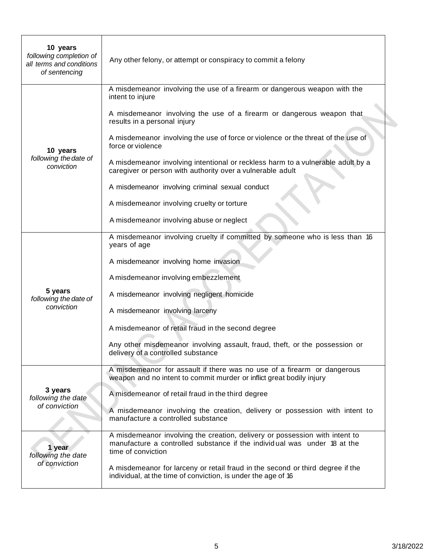| 10 years<br>following completion of<br>all terms and conditions<br>of sentencing | Any other felony, or attempt or conspiracy to commit a felony                                                                                                                 |
|----------------------------------------------------------------------------------|-------------------------------------------------------------------------------------------------------------------------------------------------------------------------------|
|                                                                                  | A misdemeanor involving the use of a firearm or dangerous weapon with the<br>intent to injure                                                                                 |
|                                                                                  | A misdemeanor involving the use of a firearm or dangerous weapon that<br>results in a personal injury                                                                         |
| 10 years                                                                         | A misdemeanor involving the use of force or violence or the threat of the use of<br>force or violence                                                                         |
| following the date of<br>conviction                                              | A misdemeanor involving intentional or reckless harm to a vulnerable adult by a<br>caregiver or person with authority over a vulnerable adult                                 |
|                                                                                  | A misdemeanor involving criminal sexual conduct                                                                                                                               |
|                                                                                  | A misdemeanor involving cruelty or torture                                                                                                                                    |
|                                                                                  | A misdemeanor involving abuse or neglect                                                                                                                                      |
|                                                                                  | A misdemeanor involving cruelty if committed by someone who is less than 16<br>years of age                                                                                   |
|                                                                                  | A misdemeanor involving home invasion                                                                                                                                         |
|                                                                                  | A misdemeanor involving embezzlement                                                                                                                                          |
| 5 years<br>following the date of                                                 | A misdemeanor involving negligent homicide                                                                                                                                    |
| conviction                                                                       | A misdemeanor involving larceny                                                                                                                                               |
|                                                                                  | A misdemeanor of retail fraud in the second degree                                                                                                                            |
|                                                                                  | Any other misdemeanor involving assault, fraud, theft, or the possession or<br>delivery of a controlled substance                                                             |
| 3 years<br>following the date                                                    | A misdemeanor for assault if there was no use of a firearm or dangerous<br>weapon and no intent to commit murder or inflict great bodily injury                               |
|                                                                                  | A misdemeanor of retail fraud in the third degree                                                                                                                             |
| of conviction                                                                    | A misdemeanor involving the creation, delivery or possession with intent to<br>manufacture a controlled substance                                                             |
| 1 year<br>following the date<br>of conviction                                    | A misdemeanor involving the creation, delivery or possession with intent to<br>manufacture a controlled substance if the individual was under 18 at the<br>time of conviction |
|                                                                                  | A misdemeanor for larceny or retail fraud in the second or third degree if the<br>individual, at the time of conviction, is under the age of 16                               |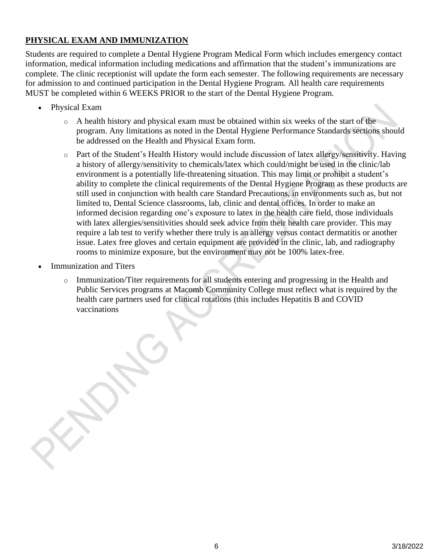# **PHYSICAL EXAM AND IMMUNIZATION**

Students are required to complete a Dental Hygiene Program Medical Form which includes emergency contact information, medical information including medications and affirmation that the student's immunizations are complete. The clinic receptionist will update the form each semester. The following requirements are necessary for admission to and continued participation in the Dental Hygiene Program. All health care requirements MUST be completed within 6 WEEKS PRIOR to the start of the Dental Hygiene Program.

- Physical Exam
	- $\circ$  A health history and physical exam must be obtained within six weeks of the start of the program. Any limitations as noted in the Dental Hygiene Performance Standards sections should be addressed on the Health and Physical Exam form.
	- o Part of the Student's Health History would include discussion of latex allergy/sensitivity. Having a history of allergy/sensitivity to chemicals/latex which could/might be used in the clinic/lab environment is a potentially life-threatening situation. This may limit or prohibit a student's ability to complete the clinical requirements of the Dental Hygiene Program as these products are still used in conjunction with health care Standard Precautions, in environments such as, but not limited to, Dental Science classrooms, lab, clinic and dental offices. In order to make an informed decision regarding one's exposure to latex in the health care field, those individuals with latex allergies/sensitivities should seek advice from their health care provider. This may require a lab test to verify whether there truly is an allergy versus contact dermatitis or another issue. Latex free gloves and certain equipment are provided in the clinic, lab, and radiography rooms to minimize exposure, but the environment may not be 100% latex-free.
- **Immunization and Titers** 
	- o Immunization/Titer requirements for all students entering and progressing in the Health and Public Services programs at Macomb Community College must reflect what is required by the health care partners used for clinical rotations (this includes Hepatitis B and COVID vaccinations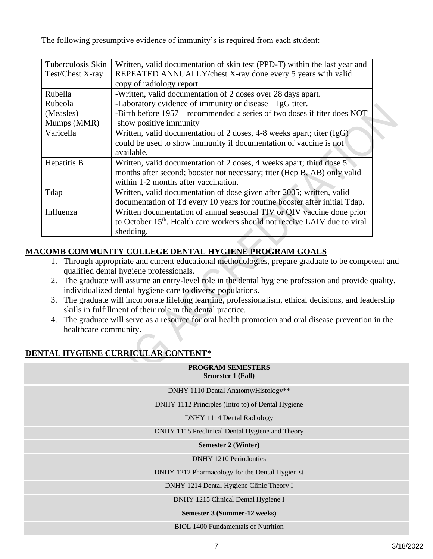The following presumptive evidence of immunity's is required from each student:

| Written, valid documentation of skin test (PPD-T) within the last year and             |
|----------------------------------------------------------------------------------------|
| REPEATED ANNUALLY/chest X-ray done every 5 years with valid                            |
| copy of radiology report.                                                              |
| -Written, valid documentation of 2 doses over 28 days apart.                           |
| -Laboratory evidence of immunity or disease $-$ IgG titer.                             |
| -Birth before 1957 – recommended a series of two doses if titer does NOT               |
| show positive immunity                                                                 |
| Written, valid documentation of 2 doses, 4-8 weeks apart; titer (IgG)                  |
| could be used to show immunity if documentation of vaccine is not                      |
| available.                                                                             |
| Written, valid documentation of 2 doses, 4 weeks apart; third dose 5                   |
| months after second; booster not necessary; titer (Hep B, AB) only valid               |
| within 1-2 months after vaccination.                                                   |
| Written, valid documentation of dose given after 2005; written, valid                  |
| documentation of Td every 10 years for routine booster after initial Tdap.             |
| Written documentation of annual seasonal TIV or QIV vaccine done prior                 |
| to October 15 <sup>th</sup> . Health care workers should not receive LAIV due to viral |
| shedding.                                                                              |
|                                                                                        |

# **MACOMB COMMUNITY COLLEGE DENTAL HYGIENE PROGRAM GOALS**

- 1. Through appropriate and current educational methodologies, prepare graduate to be competent and qualified dental hygiene professionals.
- 2. The graduate will assume an entry-level role in the dental hygiene profession and provide quality, individualized dental hygiene care to diverse populations.
- 3. The graduate will incorporate lifelong learning, professionalism, ethical decisions, and leadership skills in fulfillment of their role in the dental practice.
- 4. The graduate will serve as a resource for oral health promotion and oral disease prevention in the healthcare community.

**PROGRAM SEMESTERS**

# **DENTAL HYGIENE CURRICULAR CONTENT\***

| 1 1100 110 1101 DENIED 1 ERO<br><b>Semester 1 (Fall)</b> |
|----------------------------------------------------------|
| DNHY 1110 Dental Anatomy/Histology**                     |
| DNHY 1112 Principles (Intro to) of Dental Hygiene        |
| DNHY 1114 Dental Radiology                               |
| DNHY 1115 Preclinical Dental Hygiene and Theory          |
| <b>Semester 2 (Winter)</b>                               |
| <b>DNHY</b> 1210 Periodontics                            |
| DNHY 1212 Pharmacology for the Dental Hygienist          |
| DNHY 1214 Dental Hygiene Clinic Theory I                 |
| DNHY 1215 Clinical Dental Hygiene I                      |
| Semester 3 (Summer-12 weeks)                             |
| <b>BIOL 1400 Fundamentals of Nutrition</b>               |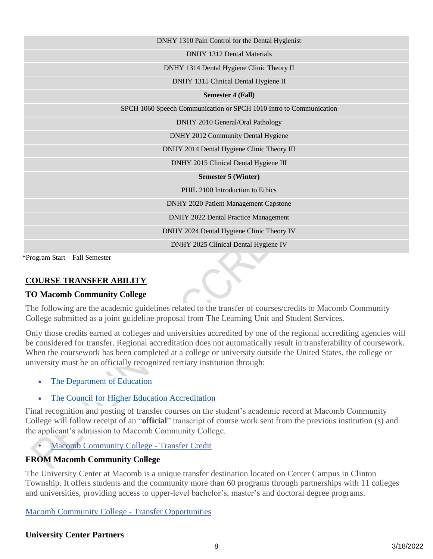| DNHY 1310 Pain Control for the Dental Hygienist                    |
|--------------------------------------------------------------------|
| <b>DNHY 1312 Dental Materials</b>                                  |
| DNHY 1314 Dental Hygiene Clinic Theory II                          |
| DNHY 1315 Clinical Dental Hygiene II                               |
| <b>Semester 4 (Fall)</b>                                           |
| SPCH 1060 Speech Communication or SPCH 1010 Intro to Communication |
| DNHY 2010 General/Oral Pathology                                   |
| DNHY 2012 Community Dental Hygiene                                 |
| DNHY 2014 Dental Hygiene Clinic Theory III                         |
| DNHY 2015 Clinical Dental Hygiene III                              |
| <b>Semester 5 (Winter)</b>                                         |
| PHIL 2100 Introduction to Ethics                                   |
| <b>DNHY 2020 Patient Management Capstone</b>                       |
| DNHY 2022 Dental Practice Management                               |
| DNHY 2024 Dental Hygiene Clinic Theory IV                          |
| DNHY 2025 Clinical Dental Hygiene IV                               |
|                                                                    |

\*Program Start – Fall Semester

#### **COURSE TRANSFER ABILITY**

#### **TO Macomb Community College**

The following are the academic guidelines related to the transfer of courses/credits to Macomb Community College submitted as a joint guideline proposal from The Learning Unit and Student Services.

Only those credits earned at colleges and universities accredited by one of the regional accrediting agencies will be considered for transfer. Regional accreditation does not automatically result in transferability of coursework. When the coursework has been completed at a college or university outside the United States, the college or university must be an officially recognized tertiary institution through:

- [The Department of Education](http://ope.ed.gov/accreditation/Search.aspx)
- The Council [for Higher Education Accreditation](http://www.chea.org/)

Final recognition and posting of transfer courses on the student's academic record at Macomb Community College will follow receipt of an "**official**" transcript of course work sent from the previous institution (s) and the applicant's admission to Macomb Community College.

• [Macomb Community College -](https://www.macomb.edu/about-macomb/college-policies/administrative/transfer-credit.html) Transfer Credit

#### **FROM Macomb Community College**

The University Center at Macomb is a unique transfer destination located on Center Campus in Clinton Township. It offers students and the community more than 60 programs through partnerships with 11 colleges and universities, providing access to upper-level bachelor's, master's and doctoral degree programs.

[Macomb Community College -](https://www.macomb.edu/future-students/choose-program/transfer-opportunities/index.html) Transfer Opportunities

#### **University Center Partners**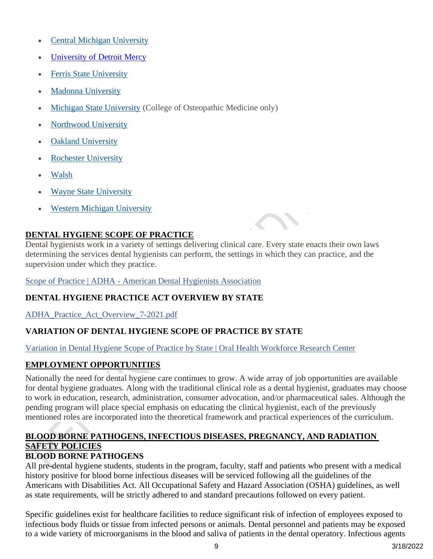- [Central Michigan University](https://www.macomb.edu/future-students/choose-program/university-center/central-michigan-university.html)
- [University of Detroit Mercy](https://www.macomb.edu/future-students/choose-program/university-center/detroit-mercy.html)
- **[Ferris State University](https://www.macomb.edu/future-students/choose-program/university-center/ferris-state-university.html)**
- [Madonna University](https://www.macomb.edu/future-students/choose-program/university-center/madonna-university.html)
- [Michigan State University](https://www.macomb.edu/future-students/choose-program/university-center/michigan-state-university.html) (College of Osteopathic Medicine only)
- **[Northwood University](https://www.macomb.edu/future-students/choose-program/university-center/northwood-university.html)**
- **[Oakland University](https://www.macomb.edu/future-students/choose-program/university-center/oakland-university.html)**
- **[Rochester University](https://www.macomb.edu/future-students/choose-program/university-center/rochester-university.html)**
- [Walsh](https://www.macomb.edu/future-students/choose-program/university-center/walsh-college.html)
- [Wayne State University](https://www.macomb.edu/future-students/choose-program/university-center/wayne-state-university.html)
- **[Western Michigan University](https://www.macomb.edu/future-students/choose-program/university-center/western-michigan-university.html)**

# **DENTAL HYGIENE SCOPE OF PRACTICE**

Dental hygienists work in a variety of settings delivering clinical care. Every state enacts their own laws determining the services dental hygienists can perform, the settings in which they can practice, and the supervision under which they practice.

Scope of Practice | ADHA - [American Dental Hygienists Association](https://www.adha.org/scope-of-practice)

#### **DENTAL HYGIENE PRACTICE ACT OVERVIEW BY STATE**

[ADHA\\_Practice\\_Act\\_Overview\\_7-2021.pdf](https://www.adha.org/resources-docs/advocacy/practice-issues/scope-of-practice/ADHA_Practice_Act_Overview_7-2021.pdf)

# **VARIATION OF DENTAL HYGIENE SCOPE OF PRACTICE BY STATE**

[Variation in Dental Hygiene Scope of Practice by State | Oral Health Workforce Research Center](https://oralhealthworkforce.org/resources/variation-in-dental-hygiene-scope-of-practice-by-state/)

#### **EMPLOYMENT OPPORTUNITIES**

Nationally the need for dental hygiene care continues to grow. A wide array of job opportunities are available for dental hygiene graduates. Along with the traditional clinical role as a dental hygienist, graduates may choose to work in education, research, administration, consumer advocation, and/or pharmaceutical sales. Although the pending program will place special emphasis on educating the clinical hygienist, each of the previously mentioned roles are incorporated into the theoretical framework and practical experiences of the curriculum.

# **BLOOD BORNE PATHOGENS, INFECTIOUS DISEASES, PREGNANCY, AND RADIATION SAFETY POLICIES**

#### **BLOOD BORNE PATHOGENS**

All pre-dental hygiene students, students in the program, faculty, staff and patients who present with a medical history positive for blood borne infectious diseases will be serviced following all the guidelines of the Americans with Disabilities Act. All Occupational Safety and Hazard Association (OSHA) guidelines, as well as state requirements, will be strictly adhered to and standard precautions followed on every patient.

Specific guidelines exist for healthcare facilities to reduce significant risk of infection of employees exposed to infectious body fluids or tissue from infected persons or animals. Dental personnel and patients may be exposed to a wide variety of microorganisms in the blood and saliva of patients in the dental operatory. Infectious agents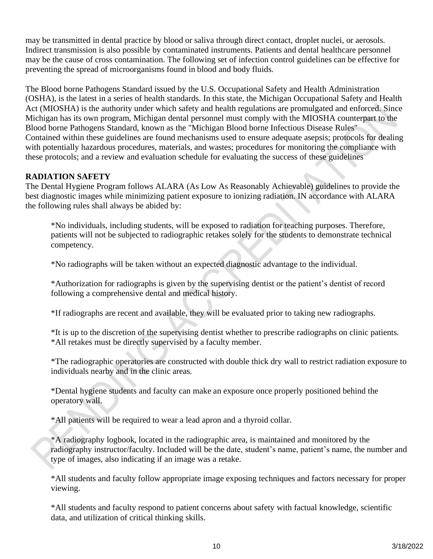may be transmitted in dental practice by blood or saliva through direct contact, droplet nuclei, or aerosols. Indirect transmission is also possible by contaminated instruments. Patients and dental healthcare personnel may be the cause of cross contamination. The following set of infection control guidelines can be effective for preventing the spread of microorganisms found in blood and body fluids.

The Blood borne Pathogens Standard issued by the U.S. Occupational Safety and Health Administration (OSHA), is the latest in a series of health standards. In this state, the Michigan Occupational Safety and Health Act (MIOSHA) is the authority under which safety and health regulations are promulgated and enforced. Since Michigan has its own program, Michigan dental personnel must comply with the MIOSHA counterpart to the Blood borne Pathogens Standard, known as the "Michigan Blood borne Infectious Disease Rules" Contained within these guidelines are found mechanisms used to ensure adequate asepsis; protocols for dealing with potentially hazardous procedures, materials, and wastes; procedures for monitoring the compliance with these protocols; and a review and evaluation schedule for evaluating the success of these guidelines

### **RADIATION SAFETY**

The Dental Hygiene Program follows ALARA (As Low As Reasonably Achievable) guidelines to provide the best diagnostic images while minimizing patient exposure to ionizing radiation. IN accordance with ALARA the following rules shall always be abided by:

\*No individuals, including students, will be exposed to radiation for teaching purposes. Therefore, patients will not be subjected to radiographic retakes solely for the students to demonstrate technical competency.

\*No radiographs will be taken without an expected diagnostic advantage to the individual.

\*Authorization for radiographs is given by the supervising dentist or the patient's dentist of record following a comprehensive dental and medical history.

\*If radiographs are recent and available, they will be evaluated prior to taking new radiographs.

\*It is up to the discretion of the supervising dentist whether to prescribe radiographs on clinic patients. \*All retakes must be directly supervised by a faculty member.

\*The radiographic operatories are constructed with double thick dry wall to restrict radiation exposure to individuals nearby and in the clinic areas.

\*Dental hygiene students and faculty can make an exposure once properly positioned behind the operatory wall.

\*All patients will be required to wear a lead apron and a thyroid collar.

\*A radiography logbook, located in the radiographic area, is maintained and monitored by the radiography instructor/faculty. Included will be the date, student's name, patient's name, the number and type of images, also indicating if an image was a retake.

\*All students and faculty follow appropriate image exposing techniques and factors necessary for proper viewing.

\*All students and faculty respond to patient concerns about safety with factual knowledge, scientific data, and utilization of critical thinking skills.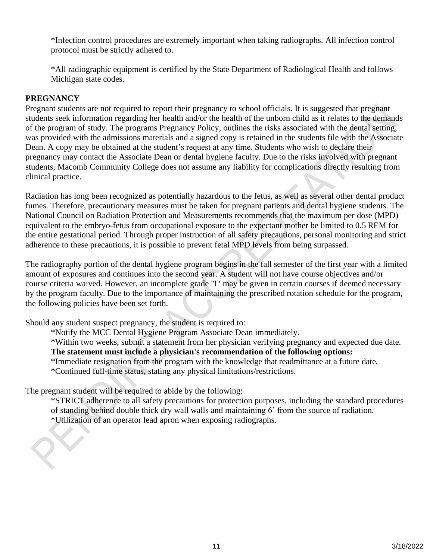\*Infection control procedures are extremely important when taking radiographs. All infection control protocol must be strictly adhered to.

\*All radiographic equipment is certified by the State Department of Radiological Health and follows Michigan state codes.

#### **PREGNANCY**

Pregnant students are not required to report their pregnancy to school officials. It is suggested that pregnant students seek information regarding her health and/or the health of the unborn child as it relates to the demands of the program of study. The programs Pregnancy Policy, outlines the risks associated with the dental setting, was provided with the admissions materials and a signed copy is retained in the students file with the Associate Dean. A copy may be obtained at the student's request at any time. Students who wish to declare their pregnancy may contact the Associate Dean or dental hygiene faculty. Due to the risks involved with pregnant students, Macomb Community College does not assume any liability for complications directly resulting from clinical practice.

Radiation has long been recognized as potentially hazardous to the fetus, as well as several other dental product fumes. Therefore, precautionary measures must be taken for pregnant patients and dental hygiene students. The National Council on Radiation Protection and Measurements recommends that the maximum per dose (MPD) equivalent to the embryo-fetus from occupational exposure to the expectant mother be limited to 0.5 REM for the entire gestational period. Through proper instruction of all safety precautions, personal monitoring and strict adherence to these precautions, it is possible to prevent fetal MPD levels from being surpassed.

The radiography portion of the dental hygiene program begins in the fall semester of the first year with a limited amount of exposures and continues into the second year. A student will not have course objectives and/or course criteria waived. However, an incomplete grade "I" may be given in certain courses if deemed necessary by the program faculty. Due to the importance of maintaining the prescribed rotation schedule for the program, the following policies have been set forth.

Should any student suspect pregnancy, the student is required to:

\*Notify the MCC Dental Hygiene Program Associate Dean immediately.

\*Within two weeks, submit a statement from her physician verifying pregnancy and expected due date. **The statement must include a physician's recommendation of the following options:** 

\*Immediate resignation from the program with the knowledge that readmittance at a future date. \*Continued full-time status, stating any physical limitations/restrictions.

The pregnant student will be required to abide by the following:

\*STRICT adherence to all safety precautions for protection purposes, including the standard procedures of standing behind double thick dry wall walls and maintaining 6' from the source of radiation. \*Utilization of an operator lead apron when exposing radiographs.